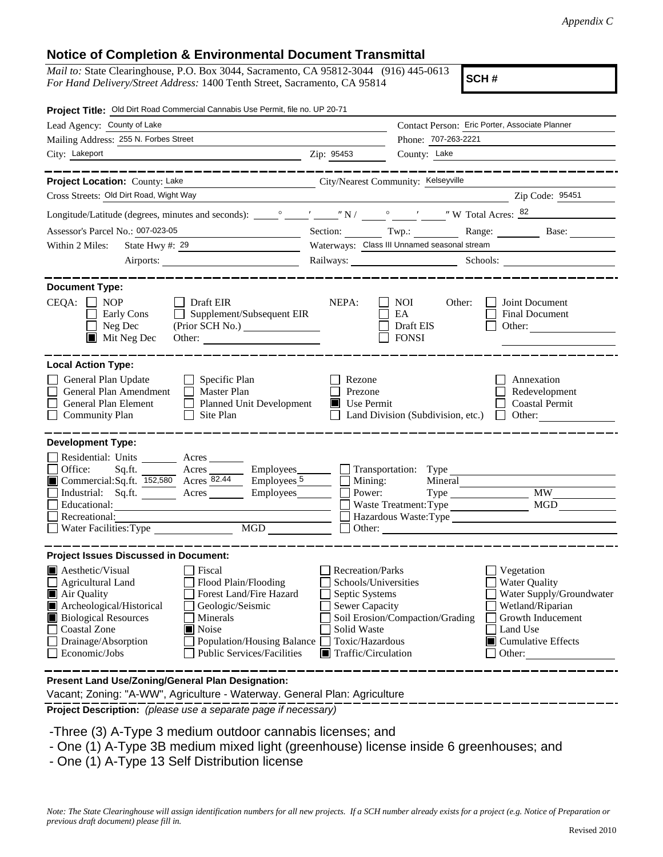## **Notice of Completion & Environmental Document Transmittal**

*Mail to:* State Clearinghouse, P.O. Box 3044, Sacramento, CA 95812-3044 (916) 445-0613 *For Hand Delivery/Street Address:* 1400 Tenth Street, Sacramento, CA 95814

**SCH #**

| Project Title: Old Dirt Road Commercial Cannabis Use Permit, file no. UP 20-71                                                                                                                                                                                                                                                                                 |                                                                                                                                                      |                                                          |                                                                                                                                                                    |
|----------------------------------------------------------------------------------------------------------------------------------------------------------------------------------------------------------------------------------------------------------------------------------------------------------------------------------------------------------------|------------------------------------------------------------------------------------------------------------------------------------------------------|----------------------------------------------------------|--------------------------------------------------------------------------------------------------------------------------------------------------------------------|
| Lead Agency: County of Lake                                                                                                                                                                                                                                                                                                                                    |                                                                                                                                                      | Contact Person: Eric Porter, Associate Planner           |                                                                                                                                                                    |
| Mailing Address: 255 N. Forbes Street                                                                                                                                                                                                                                                                                                                          |                                                                                                                                                      | Phone: 707-263-2221                                      |                                                                                                                                                                    |
| City: Lakeport<br><u> 1989 - Johann Barn, mars ann an t-Amhain Aonaich an t-Aonaich an t-Aonaich ann an t-Aonaich ann an t-Aonaich</u>                                                                                                                                                                                                                         | Zip: 95453                                                                                                                                           | County: Lake                                             |                                                                                                                                                                    |
| __________                                                                                                                                                                                                                                                                                                                                                     |                                                                                                                                                      |                                                          |                                                                                                                                                                    |
| Project Location: County: Lake<br>City/Nearest Community: Kelseyville                                                                                                                                                                                                                                                                                          |                                                                                                                                                      |                                                          |                                                                                                                                                                    |
| Cross Streets: Old Dirt Road, Wight Way                                                                                                                                                                                                                                                                                                                        |                                                                                                                                                      |                                                          | Zip Code: 95451                                                                                                                                                    |
|                                                                                                                                                                                                                                                                                                                                                                |                                                                                                                                                      |                                                          |                                                                                                                                                                    |
| Assessor's Parcel No.: 007-023-05<br><u> 1989 - Johann Barbara, martxa al</u>                                                                                                                                                                                                                                                                                  |                                                                                                                                                      |                                                          | Section: Twp.: Range: Base:                                                                                                                                        |
| State Hwy #: 29<br>Within 2 Miles:<br><u> 1990 - Johann Barbara, martin a</u>                                                                                                                                                                                                                                                                                  |                                                                                                                                                      | Waterways: Class III Unnamed seasonal stream             |                                                                                                                                                                    |
| Airports:                                                                                                                                                                                                                                                                                                                                                      |                                                                                                                                                      |                                                          | Railways: Schools: Schools:                                                                                                                                        |
| <b>Document Type:</b><br>$CEQA: \Box NP$<br>$\Box$ Draft EIR<br>Supplement/Subsequent EIR<br>Early Cons<br>Neg Dec<br>(Prior SCH No.)<br>$\blacksquare$ Mit Neg Dec                                                                                                                                                                                            | NEPA:                                                                                                                                                | <b>NOI</b><br>Other:<br>EA<br>Draft EIS<br><b>FONSI</b>  | Joint Document<br><b>Final Document</b><br>Other:                                                                                                                  |
| <b>Local Action Type:</b><br>General Plan Update<br>$\Box$ Specific Plan<br>General Plan Amendment<br>$\Box$ Master Plan<br>General Plan Element<br>Planned Unit Development<br><b>Community Plan</b><br>$\Box$ Site Plan                                                                                                                                      | Rezone<br>Prezone<br>Use Permit                                                                                                                      | Land Division (Subdivision, etc.)                        | Annexation<br>Redevelopment<br><b>Coastal Permit</b><br>Other:<br>$\Box$                                                                                           |
| <b>Development Type:</b>                                                                                                                                                                                                                                                                                                                                       |                                                                                                                                                      |                                                          |                                                                                                                                                                    |
| Residential: Units ________ Acres _______<br>$Sq$ .ft. Acres $\_\_\_\_\$ Employees $\_\_\_\$ Transportation: Type<br>Office:<br>Commercial:Sq.ft. 152,580 Acres 82.44 Employees 5<br>Industrial: Sq.ft. Acres Employees<br>Educational:<br>Recreational:<br>MGD<br>Water Facilities: Type                                                                      | Mining:<br>Power:                                                                                                                                    | Mineral<br>Waste Treatment: Type<br>$\Box$ Other: $\Box$ | $\overline{\text{MW}}$<br>MGD<br>Hazardous Waste:Type                                                                                                              |
| <b>Project Issues Discussed in Document:</b>                                                                                                                                                                                                                                                                                                                   |                                                                                                                                                      |                                                          |                                                                                                                                                                    |
| <b>Aesthetic/Visual</b><br>Fiscal<br>Agricultural Land<br>Flood Plain/Flooding<br>Air Quality<br>Forest Land/Fire Hazard<br>Archeological/Historical<br>Geologic/Seismic<br><b>Biological Resources</b><br>Minerals<br><b>Coastal Zone</b><br>Noise<br>Drainage/Absorption<br>Population/Housing Balance<br><b>Public Services/Facilities</b><br>Economic/Jobs | Recreation/Parks<br>Schools/Universities<br>Septic Systems<br>Sewer Capacity<br>Solid Waste<br>Toxic/Hazardous<br>$\blacksquare$ Traffic/Circulation | Soil Erosion/Compaction/Grading                          | Vegetation<br><b>Water Quality</b><br>Water Supply/Groundwater<br>Wetland/Riparian<br>Growth Inducement<br>Land Use<br>$\blacksquare$ Cumulative Effects<br>Other: |
| Present Land Use/Zoning/General Plan Designation:<br>Vacant; Zoning: "A-WW", Agriculture - Waterway. General Plan: Agriculture                                                                                                                                                                                                                                 |                                                                                                                                                      |                                                          |                                                                                                                                                                    |

**Project Description:** *(please use a separate page if necessary)*

- -Three (3) A-Type 3 medium outdoor cannabis licenses; and
- One (1) A-Type 3B medium mixed light (greenhouse) license inside 6 greenhouses; and
- One (1) A-Type 13 Self Distribution license